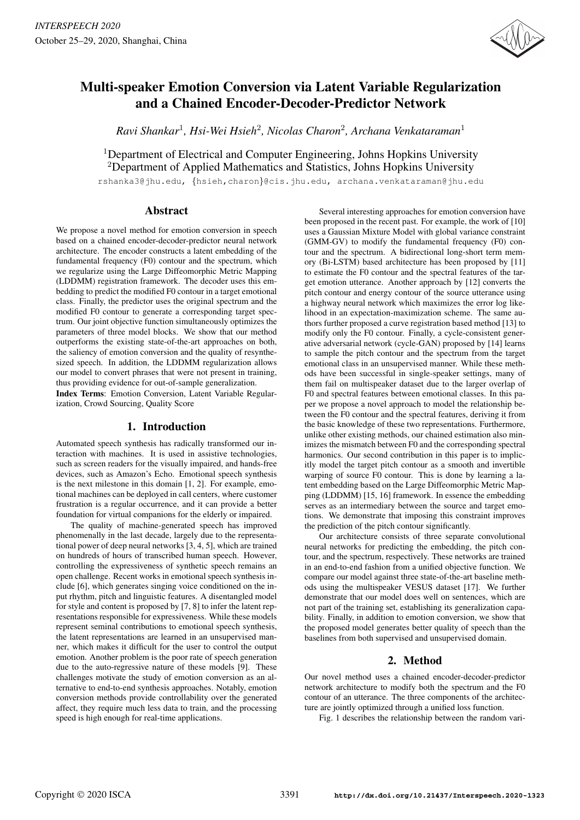

# Multi-speaker Emotion Conversion via Latent Variable Regularization and a Chained Encoder-Decoder-Predictor Network

*Ravi Shankar*<sup>1</sup> *, Hsi-Wei Hsieh*<sup>2</sup> *, Nicolas Charon*<sup>2</sup> *, Archana Venkataraman*<sup>1</sup>

<sup>1</sup>Department of Electrical and Computer Engineering, Johns Hopkins University <sup>2</sup>Department of Applied Mathematics and Statistics, Johns Hopkins University

rshanka3@jhu.edu, {hsieh,charon}@cis.jhu.edu, archana.venkataraman@jhu.edu

## Abstract

We propose a novel method for emotion conversion in speech based on a chained encoder-decoder-predictor neural network architecture. The encoder constructs a latent embedding of the fundamental frequency (F0) contour and the spectrum, which we regularize using the Large Diffeomorphic Metric Mapping (LDDMM) registration framework. The decoder uses this embedding to predict the modified F0 contour in a target emotional class. Finally, the predictor uses the original spectrum and the modified F0 contour to generate a corresponding target spectrum. Our joint objective function simultaneously optimizes the parameters of three model blocks. We show that our method outperforms the existing state-of-the-art approaches on both, the saliency of emotion conversion and the quality of resynthesized speech. In addition, the LDDMM regularization allows our model to convert phrases that were not present in training, thus providing evidence for out-of-sample generalization.

Index Terms: Emotion Conversion, Latent Variable Regularization, Crowd Sourcing, Quality Score

# 1. Introduction

Automated speech synthesis has radically transformed our interaction with machines. It is used in assistive technologies, such as screen readers for the visually impaired, and hands-free devices, such as Amazon's Echo. Emotional speech synthesis is the next milestone in this domain [1, 2]. For example, emotional machines can be deployed in call centers, where customer frustration is a regular occurrence, and it can provide a better foundation for virtual companions for the elderly or impaired.

The quality of machine-generated speech has improved phenomenally in the last decade, largely due to the representational power of deep neural networks [3, 4, 5], which are trained on hundreds of hours of transcribed human speech. However, controlling the expressiveness of synthetic speech remains an open challenge. Recent works in emotional speech synthesis include [6], which generates singing voice conditioned on the input rhythm, pitch and linguistic features. A disentangled model for style and content is proposed by [7, 8] to infer the latent representations responsible for expressiveness. While these models represent seminal contributions to emotional speech synthesis, the latent representations are learned in an unsupervised manner, which makes it difficult for the user to control the output emotion. Another problem is the poor rate of speech generation due to the auto-regressive nature of these models [9]. These challenges motivate the study of emotion conversion as an alternative to end-to-end synthesis approaches. Notably, emotion conversion methods provide controllability over the generated affect, they require much less data to train, and the processing speed is high enough for real-time applications.

Several interesting approaches for emotion conversion have been proposed in the recent past. For example, the work of [10] uses a Gaussian Mixture Model with global variance constraint (GMM-GV) to modify the fundamental frequency (F0) contour and the spectrum. A bidirectional long-short term memory (Bi-LSTM) based architecture has been proposed by [11] to estimate the F0 contour and the spectral features of the target emotion utterance. Another approach by [12] converts the pitch contour and energy contour of the source utterance using a highway neural network which maximizes the error log likelihood in an expectation-maximization scheme. The same authors further proposed a curve registration based method [13] to modify only the F0 contour. Finally, a cycle-consistent generative adversarial network (cycle-GAN) proposed by [14] learns to sample the pitch contour and the spectrum from the target emotional class in an unsupervised manner. While these methods have been successful in single-speaker settings, many of them fail on multispeaker dataset due to the larger overlap of F0 and spectral features between emotional classes. In this paper we propose a novel approach to model the relationship between the F0 contour and the spectral features, deriving it from the basic knowledge of these two representations. Furthermore, unlike other existing methods, our chained estimation also minimizes the mismatch between F0 and the corresponding spectral harmonics. Our second contribution in this paper is to implicitly model the target pitch contour as a smooth and invertible warping of source F0 contour. This is done by learning a latent embedding based on the Large Diffeomorphic Metric Mapping (LDDMM) [15, 16] framework. In essence the embedding serves as an intermediary between the source and target emotions. We demonstrate that imposing this constraint improves the prediction of the pitch contour significantly.

Our architecture consists of three separate convolutional neural networks for predicting the embedding, the pitch contour, and the spectrum, respectively. These networks are trained in an end-to-end fashion from a unified objective function. We compare our model against three state-of-the-art baseline methods using the multispeaker VESUS dataset [17]. We further demonstrate that our model does well on sentences, which are not part of the training set, establishing its generalization capability. Finally, in addition to emotion conversion, we show that the proposed model generates better quality of speech than the baselines from both supervised and unsupervised domain.

# 2. Method

Our novel method uses a chained encoder-decoder-predictor network architecture to modify both the spectrum and the F0 contour of an utterance. The three components of the architecture are jointly optimized through a unified loss function.

Fig. 1 describes the relationship between the random vari-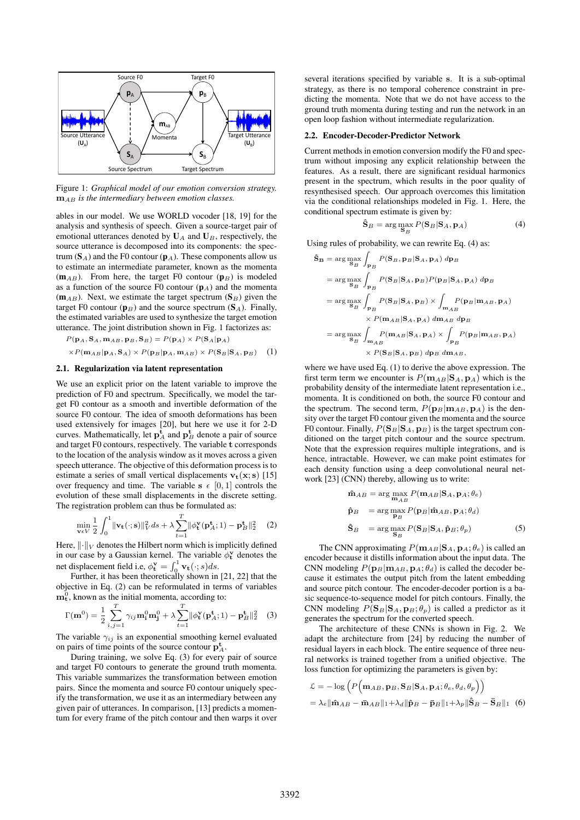

Figure 1: *Graphical model of our emotion conversion strategy.*  $\mathbf{m}_{AB}$  *is the intermediary between emotion classes.* 

ables in our model. We use WORLD vocoder [18, 19] for the analysis and synthesis of speech. Given a source-target pair of emotional utterances denoted by  $U_A$  and  $U_B$ , respectively, the source utterance is decomposed into its components: the spectrum  $(S_A)$  and the F0 contour  $(p_A)$ . These components allow us to estimate an intermediate parameter, known as the momenta  $(m_{AB})$ . From here, the target F0 contour  $(p_B)$  is modeled as a function of the source F0 contour  $(p_A)$  and the momenta  $(m_{AB})$ . Next, we estimate the target spectrum  $(S_B)$  given the target F0 contour ( $\mathbf{p}_B$ ) and the source spectrum ( $\mathbf{S}_A$ ). Finally, the estimated variables are used to synthesize the target emotion utterance. The joint distribution shown in Fig. 1 factorizes as:

$$
P(\mathbf{p}_A, \mathbf{S}_A, \mathbf{m}_{AB}, \mathbf{p}_B, \mathbf{S}_B) = P(\mathbf{p}_A) \times P(\mathbf{S}_A | \mathbf{p}_A)
$$

$$
\times P(\mathbf{m}_{AB} | \mathbf{p}_A, \mathbf{S}_A) \times P(\mathbf{p}_B | \mathbf{p}_A, \mathbf{m}_{AB}) \times P(\mathbf{S}_B | \mathbf{S}_A, \mathbf{p}_B) \quad (1)
$$

#### 2.1. Regularization via latent representation

We use an explicit prior on the latent variable to improve the prediction of F0 and spectrum. Specifically, we model the target F0 contour as a smooth and invertible deformation of the source F0 contour. The idea of smooth deformations has been used extensively for images [20], but here we use it for 2-D curves. Mathematically, let  $p_A^t$  and  $p_B^t$  denote a pair of source and target F0 contours, respectively. The variable t corresponds to the location of the analysis window as it moves across a given speech utterance. The objective of this deformation process is to estimate a series of small vertical displacements  $v_t(x; s)$  [15] over frequency and time. The variable  $s \in [0, 1]$  controls the evolution of these small displacements in the discrete setting. The registration problem can thus be formulated as:

$$
\min_{\mathbf{v}\in V} \frac{1}{2} \int_0^1 \|\mathbf{v}_\mathbf{t}(\cdot; \mathbf{s})\|_V^2 ds + \lambda \sum_{t=1}^T \|\phi_\mathbf{t}^\mathbf{v}(\mathbf{p}_A^{\mathbf{t}}; 1) - \mathbf{p}_B^{\mathbf{t}}\|_2^2 \quad (2)
$$

Here,  $\lVert \cdot \rVert_V$  denotes the Hilbert norm which is implicitly defined in our case by a Gaussian kernel. The variable  $\phi_t^{\mathbf{v}}$  denotes the net displacement field i.e,  $\phi_{\mathbf{t}}^{\mathbf{v}} = \int_0^1 \mathbf{v}_{\mathbf{t}}(\cdot; s) ds$ .

Further, it has been theoretically shown in [21, 22] that the objective in Eq. (2) can be reformulated in terms of variables  $\mathbf{m}_{t}^{\tilde{0}}$ , known as the initial momenta, according to:

$$
\Gamma(\mathbf{m}^0) = \frac{1}{2} \sum_{i,j=1}^T \gamma_{ij} \mathbf{m}_i^0 \mathbf{m}_j^0 + \lambda \sum_{t=1}^T \|\phi_t^{\mathbf{v}}(\mathbf{p}_A^t; 1) - \mathbf{p}_B^{\mathbf{t}}\|_2^2 \quad (3)
$$

The variable  $\gamma_{ij}$  is an exponential smoothing kernel evaluated on pairs of time points of the source contour  $\mathbf{p}_A^{\mathbf{t}}$ .

During training, we solve Eq. (3) for every pair of source and target F0 contours to generate the ground truth momenta. This variable summarizes the transformation between emotion pairs. Since the momenta and source F0 contour uniquely specify the transformation, we use it as an intermediary between any given pair of utterances. In comparison, [13] predicts a momentum for every frame of the pitch contour and then warps it over several iterations specified by variable s. It is a sub-optimal strategy, as there is no temporal coherence constraint in predicting the momenta. Note that we do not have access to the ground truth momenta during testing and run the network in an open loop fashion without intermediate regularization.

#### 2.2. Encoder-Decoder-Predictor Network

Current methods in emotion conversion modify the F0 and spectrum without imposing any explicit relationship between the features. As a result, there are significant residual harmonics present in the spectrum, which results in the poor quality of resynthesised speech. Our approach overcomes this limitation via the conditional relationships modeled in Fig. 1. Here, the conditional spectrum estimate is given by:

$$
\hat{\mathbf{S}}_B = \arg\max_{\mathbf{S}_B} P(\mathbf{S}_B | \mathbf{S}_A, \mathbf{p}_A)
$$
(4)

Using rules of probability, we can rewrite Eq. (4) as:

$$
\hat{\mathbf{S}}_{\mathbf{B}} = \arg \max_{\mathbf{S}_{B}} \int_{\mathbf{p}_{B}} P(\mathbf{S}_{B}, \mathbf{p}_{B} | \mathbf{S}_{A}, \mathbf{p}_{A}) \, d\mathbf{p}_{B}
$$
\n
$$
= \arg \max_{\mathbf{S}_{B}} \int_{\mathbf{p}_{B}} P(\mathbf{S}_{B} | \mathbf{S}_{A}, \mathbf{p}_{B}) P(\mathbf{p}_{B} | \mathbf{S}_{A}, \mathbf{p}_{A}) \, d\mathbf{p}_{B}
$$
\n
$$
= \arg \max_{\mathbf{S}_{B}} \int_{\mathbf{p}_{B}} P(\mathbf{S}_{B} | \mathbf{S}_{A}, \mathbf{p}_{B}) \times \int_{\mathbf{m}_{AB}} P(\mathbf{p}_{B} | \mathbf{m}_{AB}, \mathbf{p}_{A})
$$
\n
$$
\times P(\mathbf{m}_{AB} | \mathbf{S}_{A}, \mathbf{p}_{A}) \, d\mathbf{m}_{AB} \, d\mathbf{p}_{B}
$$
\n
$$
= \arg \max_{\mathbf{S}_{B}} \int_{\mathbf{m}_{AB}} P(\mathbf{m}_{AB} | \mathbf{S}_{A}, \mathbf{p}_{A}) \times \int_{\mathbf{p}_{B}} P(\mathbf{p}_{B} | \mathbf{m}_{AB}, \mathbf{p}_{A})
$$
\n
$$
\times P(\mathbf{S}_{B} | \mathbf{S}_{A}, \mathbf{p}_{B}) \, d\mathbf{p}_{B} \, d\mathbf{m}_{AB},
$$

where we have used Eq. (1) to derive the above expression. The first term term we encounter is  $P(\mathbf{m}_{AB}|\mathbf{S}_A, \mathbf{p}_A)$  which is the probability density of the intermediate latent representation i.e., momenta. It is conditioned on both, the source F0 contour and the spectrum. The second term,  $P(\mathbf{p}_B|\mathbf{m}_{AB}, \mathbf{p}_A)$  is the density over the target F0 contour given the momenta and the source F0 contour. Finally,  $P(S_B|S_A, p_B)$  is the target spectrum conditioned on the target pitch contour and the source spectrum. Note that the expression requires multiple integrations, and is hence, intractable. However, we can make point estimates for each density function using a deep convolutional neural network [23] (CNN) thereby, allowing us to write:

$$
\hat{\mathbf{n}}_{AB} = \arg \max_{\mathbf{m}_{AB}} P(\mathbf{m}_{AB} | \mathbf{S}_A, \mathbf{p}_A; \theta_e)
$$
  
\n
$$
\hat{\mathbf{p}}_B = \arg \max_{\mathbf{p}_B} P(\mathbf{p}_B | \hat{\mathbf{m}}_{AB}, \mathbf{p}_A; \theta_d)
$$
  
\n
$$
\hat{\mathbf{S}}_B = \arg \max_{\mathbf{S}_B} P(\mathbf{S}_B | \mathbf{S}_A, \hat{\mathbf{p}}_B; \theta_p)
$$
(5)

The CNN approximating  $P(\mathbf{m}_{AB}|\mathbf{S}_A, \mathbf{p}_A; \theta_e)$  is called an encoder because it distills information about the input data. The CNN modeling  $P(\mathbf{p}_B|\mathbf{m}_{AB}, \mathbf{p}_A; \theta_d)$  is called the decoder because it estimates the output pitch from the latent embedding and source pitch contour. The encoder-decoder portion is a basic sequence-to-sequence model for pitch contours. Finally, the CNN modeling  $P(\mathbf{S}_B|\mathbf{S}_A, \mathbf{p}_B; \theta_p)$  is called a predictor as it generates the spectrum for the converted speech.

The architecture of these CNNs is shown in Fig. 2. We adapt the architecture from [24] by reducing the number of residual layers in each block. The entire sequence of three neural networks is trained together from a unified objective. The loss function for optimizing the parameters is given by:

$$
\mathcal{L} = -\log \left( P \Big( \mathbf{m}_{AB}, \mathbf{p}_{B}, \mathbf{S}_{B} | \mathbf{S}_{A}, \mathbf{p}_{A}; \theta_{e}, \theta_{d}, \theta_{p} \Big) \right)
$$
  
=  $\lambda_{e} || \hat{\mathbf{m}}_{AB} - \bar{\mathbf{m}}_{AB} ||_{1} + \lambda_{d} || \hat{\mathbf{p}}_{B} - \bar{\mathbf{p}}_{B} ||_{1} + \lambda_{p} || \hat{\mathbf{S}}_{B} - \bar{\mathbf{S}}_{B} ||_{1}$  (6)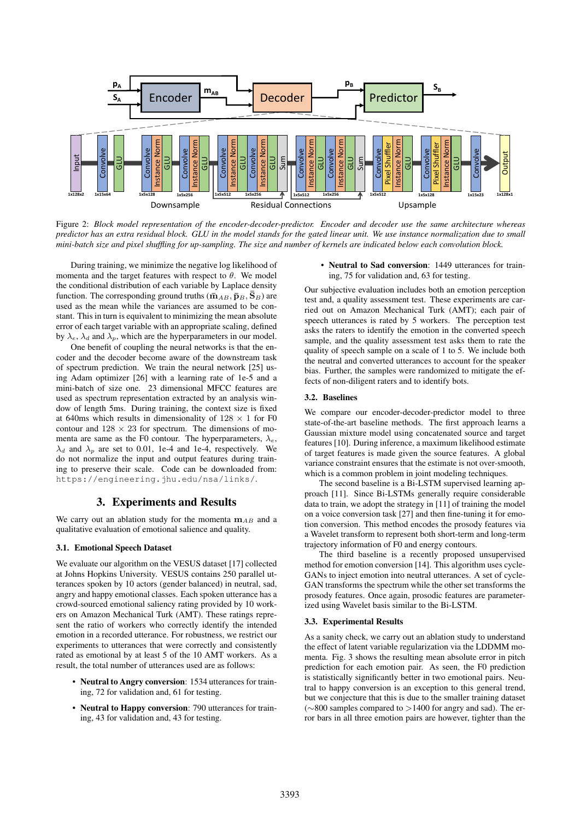

Figure 2: *Block model representation of the encoder-decoder-predictor. Encoder and decoder use the same architecture whereas predictor has an extra residual block. GLU in the model stands for the gated linear unit. We use instance normalization due to small mini-batch size and pixel shuffling for up-sampling. The size and number of kernels are indicated below each convolution block.*

During training, we minimize the negative log likelihood of momenta and the target features with respect to  $\theta$ . We model the conditional distribution of each variable by Laplace density function. The corresponding ground truths ( $\bar{m}_{AB}, \bar{p}_{B}, \bar{S}_{B}$ ) are used as the mean while the variances are assumed to be constant. This in turn is equivalent to minimizing the mean absolute error of each target variable with an appropriate scaling, defined by  $\lambda_e$ ,  $\lambda_d$  and  $\lambda_p$ , which are the hyperparameters in our model.

One benefit of coupling the neural networks is that the encoder and the decoder become aware of the downstream task of spectrum prediction. We train the neural network [25] using Adam optimizer [26] with a learning rate of 1e-5 and a mini-batch of size one. 23 dimensional MFCC features are used as spectrum representation extracted by an analysis window of length 5ms. During training, the context size is fixed at 640ms which results in dimensionality of  $128 \times 1$  for F0 contour and  $128 \times 23$  for spectrum. The dimensions of momenta are same as the F0 contour. The hyperparameters,  $\lambda_e$ ,  $\lambda_d$  and  $\lambda_p$  are set to 0.01, 1e-4 and 1e-4, respectively. We do not normalize the input and output features during training to preserve their scale. Code can be downloaded from: https://engineering.jhu.edu/nsa/links/.

# 3. Experiments and Results

We carry out an ablation study for the momenta  $m_{AB}$  and a qualitative evaluation of emotional salience and quality.

## 3.1. Emotional Speech Dataset

We evaluate our algorithm on the VESUS dataset [17] collected at Johns Hopkins University. VESUS contains 250 parallel utterances spoken by 10 actors (gender balanced) in neutral, sad, angry and happy emotional classes. Each spoken utterance has a crowd-sourced emotional saliency rating provided by 10 workers on Amazon Mechanical Turk (AMT). These ratings represent the ratio of workers who correctly identify the intended emotion in a recorded utterance. For robustness, we restrict our experiments to utterances that were correctly and consistently rated as emotional by at least 5 of the 10 AMT workers. As a result, the total number of utterances used are as follows:

- Neutral to Angry conversion: 1534 utterances for training, 72 for validation and, 61 for testing.
- Neutral to Happy conversion: 790 utterances for training, 43 for validation and, 43 for testing.

• Neutral to Sad conversion: 1449 utterances for training, 75 for validation and, 63 for testing.

Our subjective evaluation includes both an emotion perception test and, a quality assessment test. These experiments are carried out on Amazon Mechanical Turk (AMT); each pair of speech utterances is rated by 5 workers. The perception test asks the raters to identify the emotion in the converted speech sample, and the quality assessment test asks them to rate the quality of speech sample on a scale of 1 to 5. We include both the neutral and converted utterances to account for the speaker bias. Further, the samples were randomized to mitigate the effects of non-diligent raters and to identify bots.

### 3.2. Baselines

We compare our encoder-decoder-predictor model to three state-of-the-art baseline methods. The first approach learns a Gaussian mixture model using concatenated source and target features [10]. During inference, a maximum likelihood estimate of target features is made given the source features. A global variance constraint ensures that the estimate is not over-smooth, which is a common problem in joint modeling techniques.

The second baseline is a Bi-LSTM supervised learning approach [11]. Since Bi-LSTMs generally require considerable data to train, we adopt the strategy in [11] of training the model on a voice conversion task [27] and then fine-tuning it for emotion conversion. This method encodes the prosody features via a Wavelet transform to represent both short-term and long-term trajectory information of F0 and energy contours.

The third baseline is a recently proposed unsupervised method for emotion conversion [14]. This algorithm uses cycle-GANs to inject emotion into neutral utterances. A set of cycle-GAN transforms the spectrum while the other set transforms the prosody features. Once again, prosodic features are parameterized using Wavelet basis similar to the Bi-LSTM.

## 3.3. Experimental Results

As a sanity check, we carry out an ablation study to understand the effect of latent variable regularization via the LDDMM momenta. Fig. 3 shows the resulting mean absolute error in pitch prediction for each emotion pair. As seen, the F0 prediction is statistically significantly better in two emotional pairs. Neutral to happy conversion is an exception to this general trend, but we conjecture that this is due to the smaller training dataset (∼800 samples compared to >1400 for angry and sad). The error bars in all three emotion pairs are however, tighter than the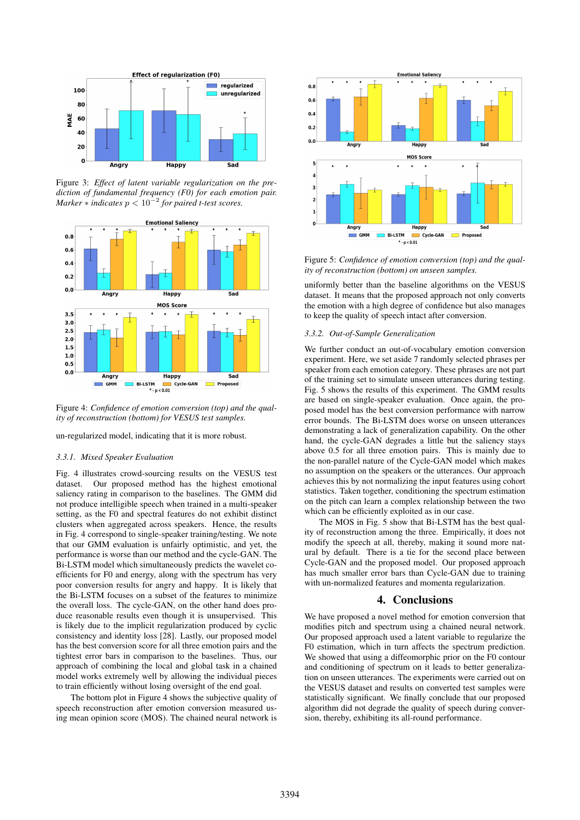

Figure 3: *Effect of latent variable regularization on the prediction of fundamental frequency (F0) for each emotion pair. Marker* ∗ *indicates* p < 10<sup>−</sup><sup>2</sup> *for paired t-test scores.*



Figure 4: *Confidence of emotion conversion (top) and the quality of reconstruction (bottom) for VESUS test samples.*

un-regularized model, indicating that it is more robust.

#### *3.3.1. Mixed Speaker Evaluation*

Fig. 4 illustrates crowd-sourcing results on the VESUS test dataset. Our proposed method has the highest emotional saliency rating in comparison to the baselines. The GMM did not produce intelligible speech when trained in a multi-speaker setting, as the F0 and spectral features do not exhibit distinct clusters when aggregated across speakers. Hence, the results in Fig. 4 correspond to single-speaker training/testing. We note that our GMM evaluation is unfairly optimistic, and yet, the performance is worse than our method and the cycle-GAN. The Bi-LSTM model which simultaneously predicts the wavelet coefficients for F0 and energy, along with the spectrum has very poor conversion results for angry and happy. It is likely that the Bi-LSTM focuses on a subset of the features to minimize the overall loss. The cycle-GAN, on the other hand does produce reasonable results even though it is unsupervised. This is likely due to the implicit regularization produced by cyclic consistency and identity loss [28]. Lastly, our proposed model has the best conversion score for all three emotion pairs and the tightest error bars in comparison to the baselines. Thus, our approach of combining the local and global task in a chained model works extremely well by allowing the individual pieces to train efficiently without losing oversight of the end goal.

The bottom plot in Figure 4 shows the subjective quality of speech reconstruction after emotion conversion measured using mean opinion score (MOS). The chained neural network is



Figure 5: *Confidence of emotion conversion (top) and the quality of reconstruction (bottom) on unseen samples.*

uniformly better than the baseline algorithms on the VESUS dataset. It means that the proposed approach not only converts the emotion with a high degree of confidence but also manages to keep the quality of speech intact after conversion.

#### *3.3.2. Out-of-Sample Generalization*

We further conduct an out-of-vocabulary emotion conversion experiment. Here, we set aside 7 randomly selected phrases per speaker from each emotion category. These phrases are not part of the training set to simulate unseen utterances during testing. Fig. 5 shows the results of this experiment. The GMM results are based on single-speaker evaluation. Once again, the proposed model has the best conversion performance with narrow error bounds. The Bi-LSTM does worse on unseen utterances demonstrating a lack of generalization capability. On the other hand, the cycle-GAN degrades a little but the saliency stays above 0.5 for all three emotion pairs. This is mainly due to the non-parallel nature of the Cycle-GAN model which makes no assumption on the speakers or the utterances. Our approach achieves this by not normalizing the input features using cohort statistics. Taken together, conditioning the spectrum estimation on the pitch can learn a complex relationship between the two which can be efficiently exploited as in our case.

The MOS in Fig. 5 show that Bi-LSTM has the best quality of reconstruction among the three. Empirically, it does not modify the speech at all, thereby, making it sound more natural by default. There is a tie for the second place between Cycle-GAN and the proposed model. Our proposed approach has much smaller error bars than Cycle-GAN due to training with un-normalized features and momenta regularization.

## 4. Conclusions

We have proposed a novel method for emotion conversion that modifies pitch and spectrum using a chained neural network. Our proposed approach used a latent variable to regularize the F0 estimation, which in turn affects the spectrum prediction. We showed that using a diffeomorphic prior on the F0 contour and conditioning of spectrum on it leads to better generalization on unseen utterances. The experiments were carried out on the VESUS dataset and results on converted test samples were statistically significant. We finally conclude that our proposed algorithm did not degrade the quality of speech during conversion, thereby, exhibiting its all-round performance.